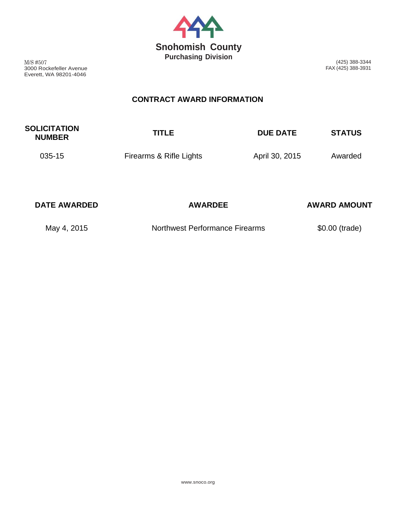

M/S #507 3000 Rockefeller Avenue Everett, WA 98201-4046

(425) 388-3344 FAX (425) 388-3931

## **CONTRACT AWARD INFORMATION**

| <b>SOLICITATION</b><br><b>NUMBER</b> | <b>TITLE</b> | <b>DUE DATE</b> | <b>STATUS</b> |
|--------------------------------------|--------------|-----------------|---------------|
|                                      |              |                 |               |

035-15 **Firearms & Rifle Lights** April 30, 2015 Awarded

| <b>DATE AWARDED</b> | <b>AWARDEE</b>                 | <b>AWARD AMOUNT</b> |
|---------------------|--------------------------------|---------------------|
| May 4, 2015         | Northwest Performance Firearms | \$0.00 (trade)      |